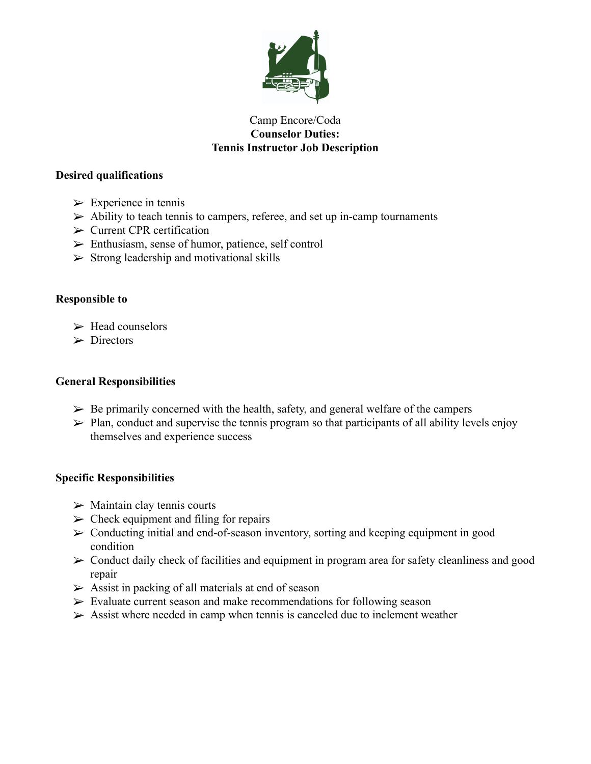

## Camp Encore/Coda **Counselor Duties: Tennis Instructor Job Description**

## **Desired qualifications**

- $\triangleright$  Experience in tennis
- $\triangleright$  Ability to teach tennis to campers, referee, and set up in-camp tournaments
- $\triangleright$  Current CPR certification
- ➢ Enthusiasm, sense of humor, patience, self control
- $\triangleright$  Strong leadership and motivational skills

# **Responsible to**

- $\triangleright$  Head counselors
- $\triangleright$  Directors

## **General Responsibilities**

- $\triangleright$  Be primarily concerned with the health, safety, and general welfare of the campers
- $\triangleright$  Plan, conduct and supervise the tennis program so that participants of all ability levels enjoy themselves and experience success

## **Specific Responsibilities**

- $\triangleright$  Maintain clay tennis courts
- $\triangleright$  Check equipment and filing for repairs
- $\geq$  Conducting initial and end-of-season inventory, sorting and keeping equipment in good condition
- $\triangleright$  Conduct daily check of facilities and equipment in program area for safety cleanliness and good repair
- $\triangleright$  Assist in packing of all materials at end of season
- $\triangleright$  Evaluate current season and make recommendations for following season
- $\triangleright$  Assist where needed in camp when tennis is canceled due to inclement weather